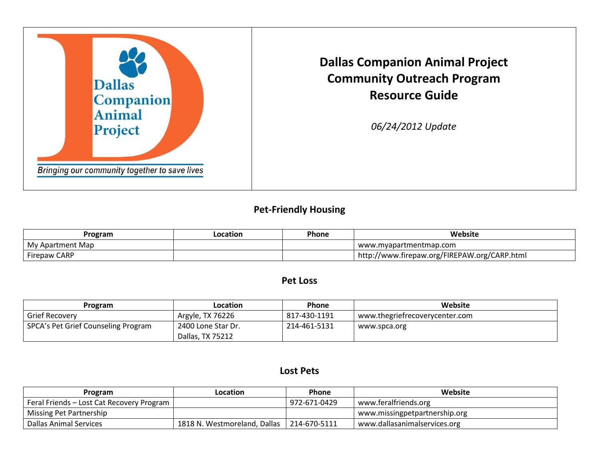

**Dallas Companion Animal Project Community Outreach Program Resource Guide**

*06/24/2012 Update*

#### **Pet-Friendly Housing**

| Program          | Location | Phone | Website                                        |
|------------------|----------|-------|------------------------------------------------|
| My Apartment Map |          |       | www.mvapartmentmap.com                         |
| Firepaw CARP     |          |       | I http://www.firepaw.org/FIREPAW.org/CARP.html |

#### **Pet Loss**

| Program                             | Location           | <b>Phone</b> | Website                        |
|-------------------------------------|--------------------|--------------|--------------------------------|
| <b>Grief Recovery</b>               | Argyle, TX 76226   | 817-430-1191 | www.thegriefrecoverycenter.com |
| SPCA's Pet Grief Counseling Program | 2400 Lone Star Dr. | 214-461-5131 | www.spca.org                   |
|                                     | Dallas, TX 75212   |              |                                |

#### **Lost Pets**

| Program                                   | <b>Location</b>              | <b>Phone</b> | Website                       |
|-------------------------------------------|------------------------------|--------------|-------------------------------|
| Feral Friends – Lost Cat Recovery Program |                              | 972-671-0429 | www.feralfriends.org          |
| Missing Pet Partnership                   |                              |              | www.missingpetpartnership.org |
| Dallas Animal Services                    | 1818 N. Westmoreland, Dallas | 214-670-5111 | www.dallasanimalservices.org  |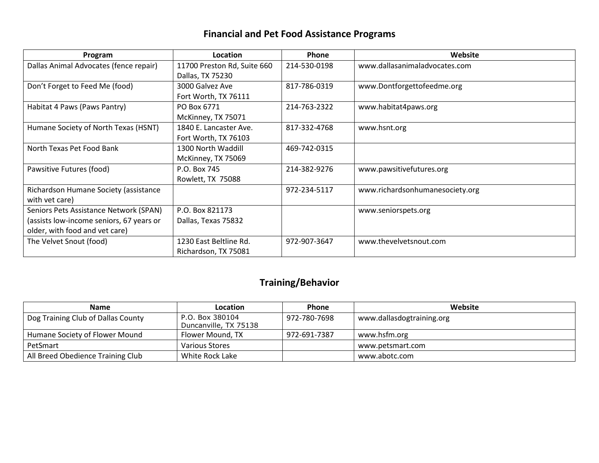# **Financial and Pet Food Assistance Programs**

| Program                                  | Location                    | <b>Phone</b> | Website                         |
|------------------------------------------|-----------------------------|--------------|---------------------------------|
| Dallas Animal Advocates (fence repair)   | 11700 Preston Rd, Suite 660 | 214-530-0198 | www.dallasanimaladvocates.com   |
|                                          | Dallas, TX 75230            |              |                                 |
| Don't Forget to Feed Me (food)           | 3000 Galvez Ave             | 817-786-0319 | www.Dontforgettofeedme.org      |
|                                          | Fort Worth, TX 76111        |              |                                 |
| Habitat 4 Paws (Paws Pantry)             | PO Box 6771                 | 214-763-2322 | www.habitat4paws.org            |
|                                          | McKinney, TX 75071          |              |                                 |
| Humane Society of North Texas (HSNT)     | 1840 E. Lancaster Ave.      | 817-332-4768 | www.hsnt.org                    |
|                                          | Fort Worth, TX 76103        |              |                                 |
| North Texas Pet Food Bank                | 1300 North Waddill          | 469-742-0315 |                                 |
|                                          | McKinney, TX 75069          |              |                                 |
| Pawsitive Futures (food)                 | P.O. Box 745                | 214-382-9276 | www.pawsitivefutures.org        |
|                                          | Rowlett, TX 75088           |              |                                 |
| Richardson Humane Society (assistance    |                             | 972-234-5117 | www.richardsonhumanesociety.org |
| with vet care)                           |                             |              |                                 |
| Seniors Pets Assistance Network (SPAN)   | P.O. Box 821173             |              | www.seniorspets.org             |
| (assists low-income seniors, 67 years or | Dallas, Texas 75832         |              |                                 |
| older, with food and vet care)           |                             |              |                                 |
| The Velvet Snout (food)                  | 1230 East Beltline Rd.      | 972-907-3647 | www.thevelvetsnout.com          |
|                                          | Richardson, TX 75081        |              |                                 |

# **Training/Behavior**

| <b>Name</b>                        | Location                                 | <b>Phone</b> | Website                   |
|------------------------------------|------------------------------------------|--------------|---------------------------|
| Dog Training Club of Dallas County | P.O. Box 380104<br>Duncanville, TX 75138 | 972-780-7698 | www.dallasdogtraining.org |
| Humane Society of Flower Mound     | Flower Mound, TX                         | 972-691-7387 | www.hsfm.org              |
| PetSmart                           | Various Stores                           |              | www.petsmart.com          |
| All Breed Obedience Training Club  | White Rock Lake                          |              | www.abotc.com             |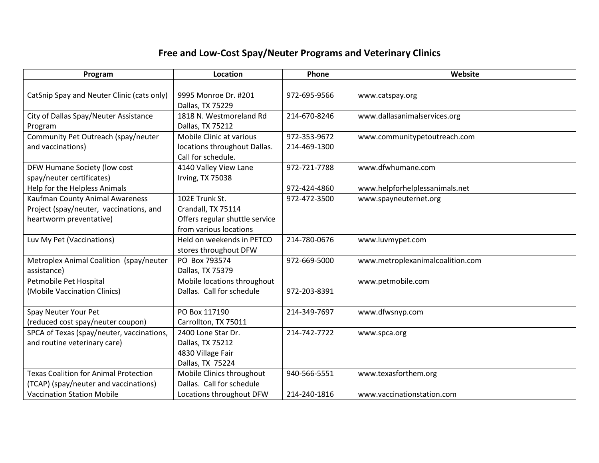# **Free and Low-Cost Spay/Neuter Programs and Veterinary Clinics**

| Program                                      | Location                       | Phone        | Website                          |
|----------------------------------------------|--------------------------------|--------------|----------------------------------|
|                                              |                                |              |                                  |
| CatSnip Spay and Neuter Clinic (cats only)   | 9995 Monroe Dr. #201           | 972-695-9566 | www.catspay.org                  |
|                                              | Dallas, TX 75229               |              |                                  |
| City of Dallas Spay/Neuter Assistance        | 1818 N. Westmoreland Rd        | 214-670-8246 | www.dallasanimalservices.org     |
| Program                                      | Dallas, TX 75212               |              |                                  |
| Community Pet Outreach (spay/neuter          | Mobile Clinic at various       | 972-353-9672 | www.communitypetoutreach.com     |
| and vaccinations)                            | locations throughout Dallas.   | 214-469-1300 |                                  |
|                                              | Call for schedule.             |              |                                  |
| DFW Humane Society (low cost                 | 4140 Valley View Lane          | 972-721-7788 | www.dfwhumane.com                |
| spay/neuter certificates)                    | Irving, TX 75038               |              |                                  |
| Help for the Helpless Animals                |                                | 972-424-4860 | www.helpforhelplessanimals.net   |
| Kaufman County Animal Awareness              | 102E Trunk St.                 | 972-472-3500 | www.spayneuternet.org            |
| Project (spay/neuter, vaccinations, and      | Crandall, TX 75114             |              |                                  |
| heartworm preventative)                      | Offers regular shuttle service |              |                                  |
|                                              | from various locations         |              |                                  |
| Luv My Pet (Vaccinations)                    | Held on weekends in PETCO      | 214-780-0676 | www.luvmypet.com                 |
|                                              | stores throughout DFW          |              |                                  |
| Metroplex Animal Coalition (spay/neuter      | PO Box 793574                  | 972-669-5000 | www.metroplexanimalcoalition.com |
| assistance)                                  | Dallas, TX 75379               |              |                                  |
| Petmobile Pet Hospital                       | Mobile locations throughout    |              | www.petmobile.com                |
| (Mobile Vaccination Clinics)                 | Dallas. Call for schedule      | 972-203-8391 |                                  |
|                                              |                                |              |                                  |
| Spay Neuter Your Pet                         | PO Box 117190                  | 214-349-7697 | www.dfwsnyp.com                  |
| (reduced cost spay/neuter coupon)            | Carrollton, TX 75011           |              |                                  |
| SPCA of Texas (spay/neuter, vaccinations,    | 2400 Lone Star Dr.             | 214-742-7722 | www.spca.org                     |
| and routine veterinary care)                 | Dallas, TX 75212               |              |                                  |
|                                              | 4830 Village Fair              |              |                                  |
|                                              | Dallas, TX 75224               |              |                                  |
| <b>Texas Coalition for Animal Protection</b> | Mobile Clinics throughout      | 940-566-5551 | www.texasforthem.org             |
| (TCAP) (spay/neuter and vaccinations)        | Dallas. Call for schedule      |              |                                  |
| <b>Vaccination Station Mobile</b>            | Locations throughout DFW       | 214-240-1816 | www.vaccinationstation.com       |